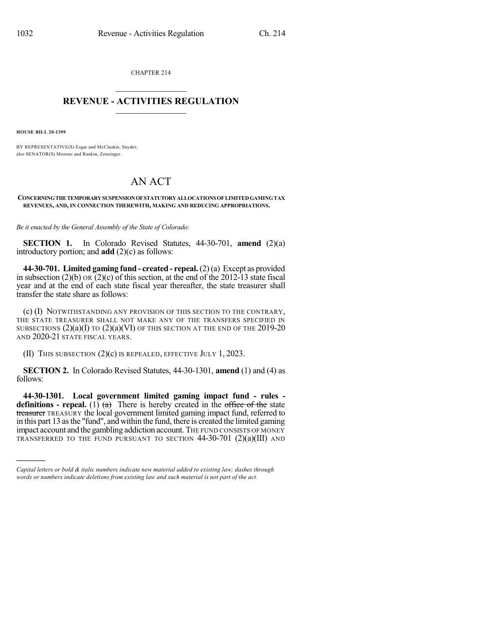CHAPTER 214  $\mathcal{L}_\text{max}$  . The set of the set of the set of the set of the set of the set of the set of the set of the set of the set of the set of the set of the set of the set of the set of the set of the set of the set of the set

## **REVENUE - ACTIVITIES REGULATION**  $\_$   $\_$   $\_$   $\_$   $\_$   $\_$   $\_$   $\_$

**HOUSE BILL 20-1399**

)))))

BY REPRESENTATIVE(S) Esgar and McCluskie, Snyder; also SENATOR(S) Moreno and Rankin, Zenzinger.

## AN ACT

**CONCERNINGTHETEMPORARYSUSPENSIONOFSTATUTORYALLOCATIONS OFLIMITEDGAMINGTAX REVENUES, AND, IN CONNECTION THEREWITH, MAKING AND REDUCING APPROPRIATIONS.**

*Be it enacted by the General Assembly of the State of Colorado:*

**SECTION 1.** In Colorado Revised Statutes, 44-30-701, **amend** (2)(a) introductory portion; and **add** (2)(c) as follows:

**44-30-701. Limited gaming fund - created - repeal.**(2)(a) Except as provided in subsection (2)(b) OR (2)(c) of this section, at the end of the 2012-13 state fiscal year and at the end of each state fiscal year thereafter, the state treasurer shall transfer the state share as follows:

(c) (I) NOTWITHSTANDING ANY PROVISION OF THIS SECTION TO THE CONTRARY, THE STATE TREASURER SHALL NOT MAKE ANY OF THE TRANSFERS SPECIFIED IN SUBSECTIONS  $(2)(a)(I)$  to  $(2)(a)(VI)$  of this section at the end of the 2019-20 AND 2020-21 STATE FISCAL YEARS.

(II) THIS SUBSECTION (2)(c) IS REPEALED, EFFECTIVE JULY 1, 2023.

**SECTION 2.** In Colorado Revised Statutes, 44-30-1301, **amend** (1) and (4) as follows:

**44-30-1301. Local government limited gaming impact fund - rules definitions - repeal.** (1)  $(a)$  There is hereby created in the office of the state treasurer TREASURY the local government limited gaming impact fund, referred to in this part 13 asthe "fund", and within the fund, there is created the limited gaming impact account and the gambling addiction account. THE FUND CONSISTS OF MONEY TRANSFERRED TO THE FUND PURSUANT TO SECTION 44-30-701 (2)(a)(III) AND

*Capital letters or bold & italic numbers indicate new material added to existing law; dashes through words or numbers indicate deletions from existing law and such material is not part of the act.*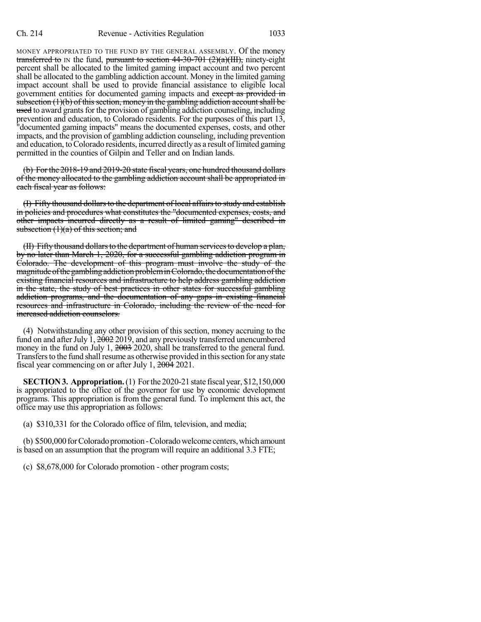MONEY APPROPRIATED TO THE FUND BY THE GENERAL ASSEMBLY. Of the money transferred to IN the fund, pursuant to section  $44-30-701$  ( $2)(a)(III)$ , ninety-eight percent shall be allocated to the limited gaming impact account and two percent shall be allocated to the gambling addiction account. Money in the limited gaming impact account shall be used to provide financial assistance to eligible local government entities for documented gaming impacts and except as provided in subsection  $(1)(b)$  of this section, money in the gambling addiction account shall be used to award grants for the provision of gambling addiction counseling, including prevention and education, to Colorado residents. For the purposes of this part 13, "documented gaming impacts" means the documented expenses, costs, and other impacts, and the provision of gambling addiction counseling, including prevention and education, toColorado residents, incurred directly as a result oflimited gaming permitted in the counties of Gilpin and Teller and on Indian lands.

(b) For the 2018-19 and 2019-20 state fiscal years, one hundred thousand dollars of the money allocated to the gambling addiction account shall be appropriated in each fiscal year as follows:

(I) Fifty thousand dollars to the department of local affairs to study and establish in policies and procedures what constitutes the "documented expenses, costs, and other impacts incurred directly as a result of limited gaming" described in subsection  $(1)(a)$  of this section; and

(II) Fifty thousand dollars to the department of human services to develop a plan, by no later than March 1, 2020, for a successful gambling addiction program in Colorado. The development of this program must involve the study of the magnitude of the gambling addiction problem in Colorado, the documentation of the existing financial resources and infrastructure to help address gambling addiction in the state, the study of best practices in other states for successful gambling addiction programs, and the documentation of any gaps in existing financial resources and infrastructure in Colorado, including the review of the need for increased addiction counselors.

(4) Notwithstanding any other provision of this section, money accruing to the fund on and after July  $\tilde{1}$ ,  $2\tilde{0}02$  2019, and any previously transferred unencumbered money in the fund on July 1, 2003 2020, shall be transferred to the general fund. Transfers to the fund shall resume as otherwise provided in this section for any state fiscal year commencing on or after July 1, 2004 2021.

**SECTION3. Appropriation.**(1) Forthe 2020-21 state fiscal year, \$12,150,000 is appropriated to the office of the governor for use by economic development programs. This appropriation is from the general fund. To implement this act, the office may use this appropriation as follows:

(a) \$310,331 for the Colorado office of film, television, and media;

(b) \$500,000 for Colorado promotion - Colorado welcome centers, which amount is based on an assumption that the program will require an additional 3.3 FTE;

(c) \$8,678,000 for Colorado promotion - other program costs;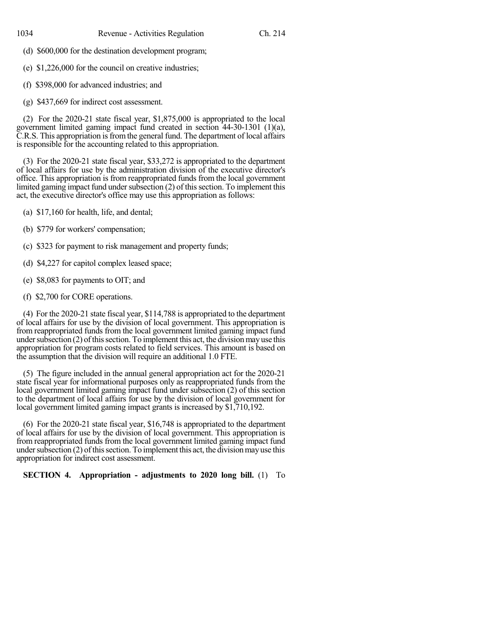- (d) \$600,000 for the destination development program;
- (e) \$1,226,000 for the council on creative industries;
- (f) \$398,000 for advanced industries; and
- (g) \$437,669 for indirect cost assessment.

(2) For the 2020-21 state fiscal year, \$1,875,000 is appropriated to the local government limited gaming impact fund created in section 44-30-1301 (1)(a), C.R.S. This appropriation isfromthe general fund. The department of local affairs is responsible for the accounting related to this appropriation.

(3) For the 2020-21 state fiscal year, \$33,272 is appropriated to the department of local affairs for use by the administration division of the executive director's office. This appropriation is from reappropriated funds from the local government limited gaming impact fund under subsection (2) of this section. To implement this act, the executive director's office may use this appropriation as follows:

- (a) \$17,160 for health, life, and dental;
- (b) \$779 for workers' compensation;
- (c) \$323 for payment to risk management and property funds;
- (d) \$4,227 for capitol complex leased space;
- (e) \$8,083 for payments to OIT; and
- (f) \$2,700 for CORE operations.

(4) For the 2020-21 state fiscal year, \$114,788 is appropriated to the department of local affairs for use by the division of local government. This appropriation is from reappropriated funds from the local government limited gaming impact fund under subsection  $(2)$  of this section. To implement this act, the division may use this appropriation for program costs related to field services. This amount is based on the assumption that the division will require an additional 1.0 FTE.

(5) The figure included in the annual general appropriation act for the 2020-21 state fiscal year for informational purposes only as reappropriated funds from the local government limited gaming impact fund under subsection (2) of this section to the department of local affairs for use by the division of local government for local government limited gaming impact grants is increased by \$1,710,192.

(6) For the 2020-21 state fiscal year, \$16,748 is appropriated to the department of local affairs for use by the division of local government. This appropriation is from reappropriated funds from the local government limited gaming impact fund under subsection  $(2)$  of this section. To implement this act, the division may use this appropriation for indirect cost assessment.

**SECTION 4. Appropriation - adjustments to 2020 long bill.** (1) To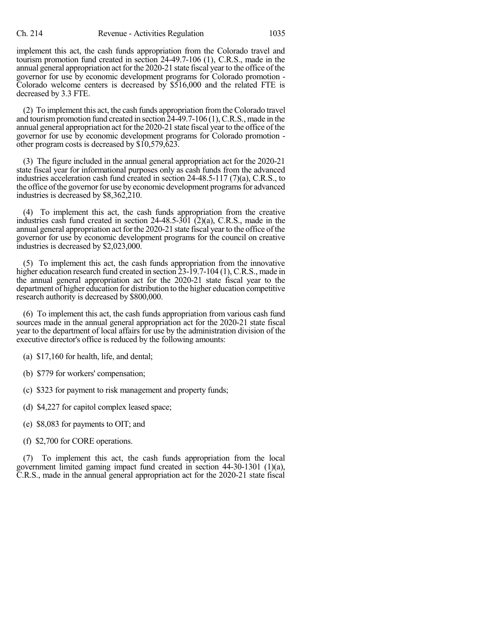implement this act, the cash funds appropriation from the Colorado travel and tourism promotion fund created in section 24-49.7-106 (1), C.R.S., made in the annual general appropriation act for the 2020-21 state fiscal year to the office of the governor for use by economic development programs for Colorado promotion - Colorado welcome centers is decreased by \$516,000 and the related FTE is decreased by 3.3 FTE.

(2) To implement this act, the cash funds appropriation fromthe Colorado travel and tourismpromotion fund created in section 24-49.7-106 (1),C.R.S., made in the annual general appropriation act for the 2020-21 state fiscal year to the office of the governor for use by economic development programs for Colorado promotion other program costs is decreased by \$10,579,623.

(3) The figure included in the annual general appropriation act for the 2020-21 state fiscal year for informational purposes only as cash funds from the advanced industries acceleration cash fund created in section 24-48.5-117 (7)(a), C.R.S., to the office of the governor for use by economic development programs for advanced industries is decreased by \$8,362,210.

(4) To implement this act, the cash funds appropriation from the creative industries cash fund created in section  $24-48.5-301$  (2)(a), C.R.S., made in the annual general appropriation act for the 2020-21 state fiscal year to the office of the governor for use by economic development programs for the council on creative industries is decreased by \$2,023,000.

(5) To implement this act, the cash funds appropriation from the innovative higher education research fund created in section 23-19.7-104 (1), C.R.S., made in the annual general appropriation act for the 2020-21 state fiscal year to the department of higher education for distribution to the higher education competitive research authority is decreased by \$800,000.

(6) To implement this act, the cash funds appropriation from various cash fund sources made in the annual general appropriation act for the 2020-21 state fiscal year to the department of local affairs for use by the administration division of the executive director's office is reduced by the following amounts:

(a) \$17,160 for health, life, and dental;

(b) \$779 for workers' compensation;

(c) \$323 for payment to risk management and property funds;

(d) \$4,227 for capitol complex leased space;

(e) \$8,083 for payments to OIT; and

(f) \$2,700 for CORE operations.

(7) To implement this act, the cash funds appropriation from the local government limited gaming impact fund created in section 44-30-1301 (1)(a), C.R.S., made in the annual general appropriation act for the 2020-21 state fiscal